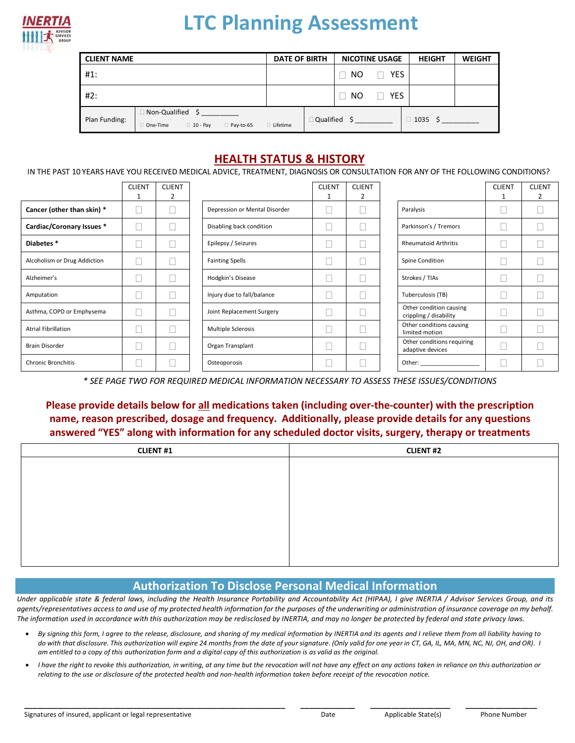

## **LTC Planning Assessment**

| <b>CLIENT NAME</b> | <b>DATE OF BIRTH</b>                                                       |            | <b>NICOTINE USAGE</b> |     | <b>HEIGHT</b> | <b>WEIGHT</b> |  |
|--------------------|----------------------------------------------------------------------------|------------|-----------------------|-----|---------------|---------------|--|
| #1:                |                                                                            |            |                       | NO. | <b>YES</b>    |               |  |
| #2:                |                                                                            |            |                       | NO. | <b>YES</b>    |               |  |
| Plan Funding:      | $\Box$ Non-Qualified \$<br>One-Time<br>$\Box$ 10 - Pay<br>$\Box$ Pay-to-65 | □ Lifetime | $\Box$ Qualified      |     |               | $\Box$ 1035   |  |

## **HEALTH STATUS & HISTORY**

IN THE PAST 10 YEARS HAVE YOU RECEIVED MEDICAL ADVICE, TREATMENT, DIAGNOSIS OR CONSULTATION FOR ANY OF THE FOLLOWING CONDITIONS?

|                              | <b>CLIENT</b><br>1 | <b>CLIENT</b><br>2 |                               | <b>CLIENT</b><br>1 | <b>CLIENT</b><br>2 |                                                   | <b>CLIENT</b> | <b>CLIENT</b> |
|------------------------------|--------------------|--------------------|-------------------------------|--------------------|--------------------|---------------------------------------------------|---------------|---------------|
| Cancer (other than skin) *   |                    |                    | Depression or Mental Disorder |                    |                    | Paralysis                                         |               |               |
| Cardiac/Coronary Issues *    |                    |                    | Disabling back condition      |                    |                    | Parkinson's / Tremors                             |               |               |
| Diabetes <sup>*</sup>        |                    |                    | Epilepsy / Seizures           |                    |                    | <b>Rheumatoid Arthritis</b>                       |               |               |
| Alcoholism or Drug Addiction |                    |                    | <b>Fainting Spells</b>        |                    |                    | Spine Condition                                   |               |               |
| Alzheimer's                  |                    |                    | Hodgkin's Disease             |                    |                    | Strokes / TIAs                                    |               |               |
| Amputation                   |                    |                    | Injury due to fall/balance    |                    | ٠                  | Tuberculosis (TB)                                 |               |               |
| Asthma, COPD or Emphysema    |                    |                    | Joint Replacement Surgery     |                    |                    | Other condition causing<br>crippling / disability |               |               |
| <b>Atrial Fibrillation</b>   |                    |                    | Multiple Sclerosis            |                    |                    | Other conditions causing<br>limited motion        |               |               |
| <b>Brain Disorder</b>        |                    |                    | Organ Transplant              |                    |                    | Other conditions requiring<br>adaptive devices    |               |               |
| <b>Chronic Bronchitis</b>    |                    |                    | Osteoporosis                  |                    |                    | Other:                                            |               |               |

*\* SEE PAGE TWO FOR REQUIRED MEDICAL INFORMATION NECESSARY TO ASSESS THESE ISSUES/CONDITIONS*

**Please provide details below for all medications taken (including over-the-counter) with the prescription name, reason prescribed, dosage and frequency. Additionally, please provide details for any questions answered "YES" along with information for any scheduled doctor visits, surgery, therapy or treatments**

| <b>CLIENT #1</b> | <b>CLIENT #2</b> |
|------------------|------------------|
|                  |                  |
|                  |                  |
|                  |                  |
|                  |                  |
|                  |                  |
|                  |                  |
|                  |                  |
|                  |                  |

## **Authorization To Disclose Personal Medical Information**

*Under applicable state & federal laws, including the Health Insurance Portability and Accountability Act (HIPAA), I give INERTIA / Advisor Services Group, and its agents/representatives access to and use of my protected health information for the purposes of the underwriting or administration of insurance coverage on my behalf. The information used in accordance with this authorization may be redisclosed by INERTIA, and may no longer be protected by federal and state privacy laws.* 

- *By signing this form, I agree to the release, disclosure, and sharing of my medical information by INERTIA and its agents and I relieve them from all liability having to do with that disclosure. This authorization will expire 24 months from the date of your signature. (Only valid for one year in CT, GA, IL, MA, MN, NC, NJ, OH, and OR). I am entitled to a copy of this authorization form and a digital copy of this authorization is as valid as the original.*
- *I have the right to revoke this authorization, in writing, at any time but the revocation will not have any effect on any actions taken in reliance on this authorization or relating to the use or disclosure of the protected health and non-health information taken before receipt of the revocation notice.*